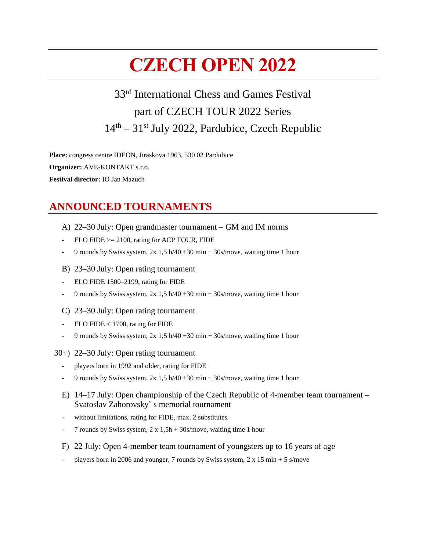# **CZECH OPEN 2022**

# 33<sup>rd</sup> International Chess and Games Festival part of CZECH TOUR 2022 Series 14<sup>th</sup> – 31<sup>st</sup> July 2022, Pardubice, Czech Republic

**Place:** congress centre IDEON, Jiraskova 1963, 530 02 Pardubice

**Organizer:** AVE-KONTAKT s.r.o.

**Festival director:** IO Jan Mazuch

# **ANNOUNCED TOURNAMENTS**

- A) 22–30 July: Open grandmaster tournament GM and IM norms
- $ELO FIDE \ge 2100$ , rating for ACP TOUR, FIDE
- 9 rounds by Swiss system,  $2x \frac{1}{5} h/40 + 30 m in + 30 s/move$ , waiting time 1 hour
- B) 23–30 July: Open rating tournament
- ELO FIDE 1500-2199, rating for FIDE
- 9 rounds by Swiss system,  $2x$  1,5 h/40 +30 min + 30s/move, waiting time 1 hour
- C) 23–30 July: Open rating tournament
- $ELO FIDE < 1700$ , rating for FIDE
- 9 rounds by Swiss system,  $2x \frac{1}{5} h/40 + 30 m$  min + 30s/move, waiting time 1 hour
- 30+) 22–30 July: Open rating tournament
	- players born in 1992 and older, rating for FIDE
	- 9 rounds by Swiss system,  $2x \frac{1}{5} h/40 + 30 m in + 30 s/move$ , waiting time 1 hour
	- E) 14–17 July: Open championship of the Czech Republic of 4-member team tournament Svatoslav Zahorovsky` s memorial tournament
	- without limitations, rating for FIDE, max. 2 substitutes
	- 7 rounds by Swiss system,  $2 \times 1,5h + 30s/move$ , waiting time 1 hour
	- F) 22 July: Open 4-member team tournament of youngsters up to 16 years of age
	- players born in 2006 and younger, 7 rounds by Swiss system,  $2 \times 15$  min + 5 s/move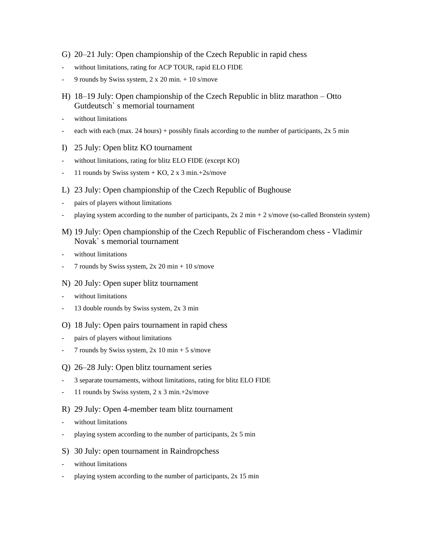G) 20–21 July: Open championship of the Czech Republic in rapid chess

- without limitations, rating for ACP TOUR, rapid ELO FIDE
- 9 rounds by Swiss system,  $2 \times 20$  min.  $+ 10$  s/move
- H) 18–19 July: Open championship of the Czech Republic in blitz marathon Otto Gutdeutsch` s memorial tournament
- without limitations
- each with each (max. 24 hours) + possibly finals according to the number of participants,  $2x 5$  min
- I) 25 July: Open blitz KO tournament
- without limitations, rating for blitz ELO FIDE (except KO)
- 11 rounds by Swiss system  $+$  KO, 2 x 3 min. $+2s/move$
- L) 23 July: Open championship of the Czech Republic of Bughouse
- pairs of players without limitations
- playing system according to the number of participants,  $2x 2 \text{ min} + 2 \text{ s/move}$  (so-called Bronstein system)
- M) 19 July: Open championship of the Czech Republic of Fischerandom chess Vladimir Novak` s memorial tournament
- without limitations
- 7 rounds by Swiss system,  $2x 20 \text{ min} + 10 \text{ s/move}$
- N) 20 July: Open super blitz tournament
- without limitations
- 13 double rounds by Swiss system, 2x 3 min
- O) 18 July: Open pairs tournament in rapid chess
- pairs of players without limitations
- 7 rounds by Swiss system,  $2x 10 min + 5 s/move$
- Q) 26–28 July: Open blitz tournament series
- 3 separate tournaments, without limitations, rating for blitz ELO FIDE
- 11 rounds by Swiss system, 2 x 3 min.+2s/move
- R) 29 July: Open 4-member team blitz tournament
- without limitations
- playing system according to the number of participants, 2x 5 min
- S) 30 July: open tournament in Raindropchess
- without limitations
- playing system according to the number of participants, 2x 15 min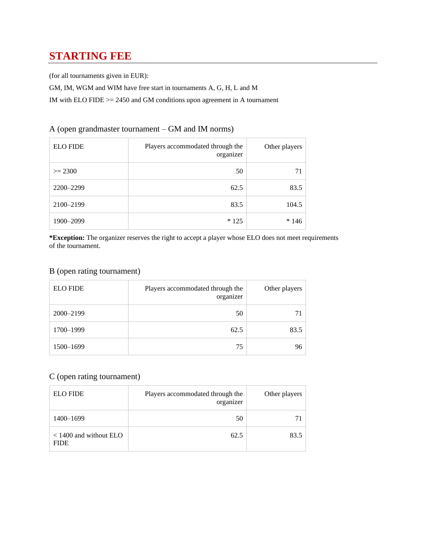# **STARTING FEE**

(for all tournaments given in EUR):

GM, IM, WGM and WIM have free start in tournaments A, G, H, L and M

IM with ELO FIDE  $>= 2450$  and GM conditions upon agreement in A tournament

#### A (open grandmaster tournament – GM and IM norms)

| <b>ELO FIDE</b> | Players accommodated through the<br>organizer | Other players |
|-----------------|-----------------------------------------------|---------------|
| $>= 2300$       | 50                                            | 71            |
| 2200-2299       | 62.5                                          | 83.5          |
| 2100-2199       | 83.5                                          | 104.5         |
| 1900–2099       | $*125$                                        | $*146$        |

**\*Exception:** The organizer reserves the right to accept a player whose ELO does not meet requirements of the tournament.

#### B (open rating tournament)

| <b>ELO FIDE</b> | Players accommodated through the<br>organizer | Other players |
|-----------------|-----------------------------------------------|---------------|
| 2000-2199       | 50                                            |               |
| 1700–1999       | 62.5                                          | 83.5          |
| 1500-1699       | 75                                            | 96.           |

#### C (open rating tournament)

| <b>ELO FIDE</b>                         | Players accommodated through the<br>organizer | Other players |
|-----------------------------------------|-----------------------------------------------|---------------|
| 1400-1699                               | 50                                            |               |
| $< 1400$ and without ELO<br><b>FIDE</b> | 62.5                                          | 83.5          |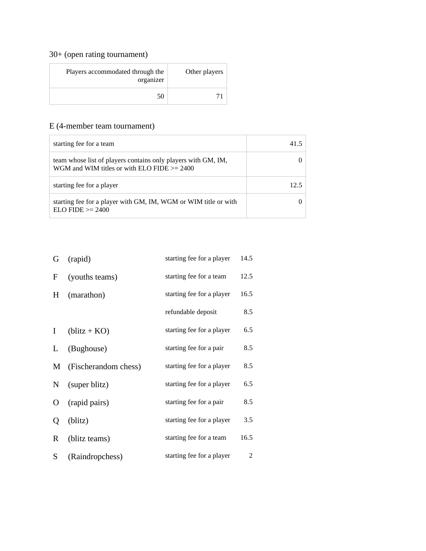### 30+ (open rating tournament)

| Players accommodated through the<br>organizer | Other players |
|-----------------------------------------------|---------------|
| 50                                            |               |

#### E (4-member team tournament)

| starting fee for a team                                                                                         |  |
|-----------------------------------------------------------------------------------------------------------------|--|
| team whose list of players contains only players with GM, IM,<br>WGM and WIM titles or with ELO FIDE $\ge$ 2400 |  |
| starting fee for a player                                                                                       |  |
| starting fee for a player with GM, IM, WGM or WIM title or with<br>$ELO FIDE \ge 2400$                          |  |

| G        | (rapid)              | starting fee for a player | 14.5 |
|----------|----------------------|---------------------------|------|
| F        | (youths teams)       | starting fee for a team   | 12.5 |
| H        | (marathon)           | starting fee for a player | 16.5 |
|          |                      | refundable deposit        | 8.5  |
| $\bf{l}$ | $(blitz + KO)$       | starting fee for a player | 6.5  |
| L        | (Bughouse)           | starting fee for a pair   | 8.5  |
| M        | (Fischerandom chess) | starting fee for a player | 8.5  |
| N        | (super blitz)        | starting fee for a player | 6.5  |
| O        | (rapid pairs)        | starting fee for a pair   | 8.5  |
| Q        | (blitz)              | starting fee for a player | 3.5  |
| R        | (blitz teams)        | starting fee for a team   | 16.5 |
| S        | (Raindropchess)      | starting fee for a player | 2    |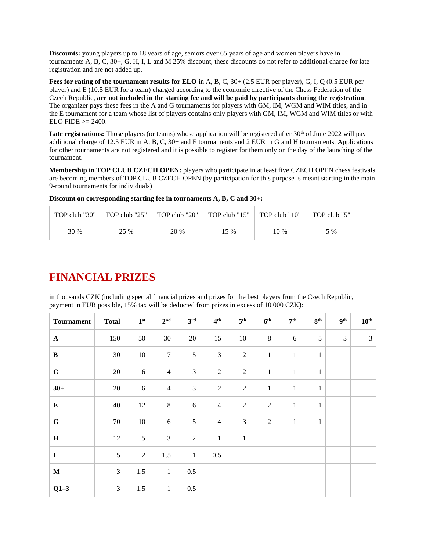**Discounts:** young players up to 18 years of age, seniors over 65 years of age and women players have in tournaments A, B, C, 30+, G, H, I, L and M 25% discount, these discounts do not refer to additional charge for late registration and are not added up.

**Fees for rating of the tournament results for ELO** in A, B, C, 30+ (2.5 EUR per player), G, I, Q (0.5 EUR per player) and E (10.5 EUR for a team) charged according to the economic directive of the Chess Federation of the Czech Republic, **are not included in the starting fee and will be paid by participants during the registration**. The organizer pays these fees in the A and G tournaments for players with GM, IM, WGM and WIM titles, and in the E tournament for a team whose list of players contains only players with GM, IM, WGM and WIM titles or with  $ELO FIDE \geq 2400.$ 

Late registrations: Those players (or teams) whose application will be registered after 30<sup>th</sup> of June 2022 will pay additional charge of 12.5 EUR in A, B, C, 30+ and E tournaments and 2 EUR in G and H tournaments. Applications for other tournaments are not registered and it is possible to register for them only on the day of the launching of the tournament.

**Membership in TOP CLUB CZECH OPEN:** players who participate in at least five CZECH OPEN chess festivals are becoming members of TOP CLUB CZECH OPEN (by participation for this purpose is meant starting in the main 9-round tournaments for individuals)

**Discount on corresponding starting fee in tournaments A, B, C and 30+:**

| TOP club "30" | TOP club "25" $\parallel$ |      | TOP club "20" $\parallel$ TOP club "15" | TOP club " $10"$ | TOP club "5" |
|---------------|---------------------------|------|-----------------------------------------|------------------|--------------|
| 30 %          | 25 %                      | 20 % | 15 %                                    | 10 %             | 5 %          |

## **FINANCIAL PRIZES**

in thousands CZK (including special financial prizes and prizes for the best players from the Czech Republic, payment in EUR possible, 15% tax will be deducted from prizes in excess of 10 000 CZK):

| <b>Tournament</b> | <b>Total</b>   | 1 <sup>st</sup> | 2 <sup>nd</sup> | 3 <sup>rd</sup> | 4 <sup>th</sup> | 5 <sup>th</sup> | 6 <sup>th</sup> | 7 <sup>th</sup> | 8 <sup>th</sup> | <b>9th</b> | $10^{\text{th}}$ |
|-------------------|----------------|-----------------|-----------------|-----------------|-----------------|-----------------|-----------------|-----------------|-----------------|------------|------------------|
| $\mathbf A$       | 150            | 50              | $30\,$          | 20              | 15              | $10\,$          | $8\,$           | $\sqrt{6}$      | 5               | 3          | $\overline{3}$   |
| $\, {\bf B}$      | $30\,$         | $10\,$          | $\tau$          | 5               | $\overline{3}$  | $\sqrt{2}$      | $\,1$           | $\,1$           | $\mathbf{1}$    |            |                  |
| $\mathbf C$       | $20\,$         | 6               | $\overline{4}$  | 3               | $\sqrt{2}$      | $\overline{c}$  | $\,1$           | $\,1$           | $\mathbf{1}$    |            |                  |
| $30+$             | $20\,$         | 6               | $\overline{4}$  | 3               | $\sqrt{2}$      | $\sqrt{2}$      | $\,1$           | $\,1$           | $\mathbf{1}$    |            |                  |
| ${\bf E}$         | 40             | 12              | $\,8\,$         | 6               | $\overline{4}$  | $\sqrt{2}$      | $\sqrt{2}$      | $\,1$           | $\mathbf{1}$    |            |                  |
| ${\bf G}$         | 70             | $10\,$          | $\sqrt{6}$      | 5               | $\overline{4}$  | $\mathfrak{Z}$  | $\sqrt{2}$      | $\,1$           | $\mathbf{1}$    |            |                  |
| $\bf H$           | 12             | 5               | 3               | $\sqrt{2}$      | $\,1\,$         | $\,1$           |                 |                 |                 |            |                  |
| $\mathbf I$       | 5              | $\sqrt{2}$      | $1.5\,$         | $\mathbf{1}$    | 0.5             |                 |                 |                 |                 |            |                  |
| $\mathbf M$       | $\overline{3}$ | 1.5             | $\mathbf{1}$    | $0.5\,$         |                 |                 |                 |                 |                 |            |                  |
| $Q1-3$            | $\mathfrak{Z}$ | 1.5             | $\,1\,$         | $0.5\,$         |                 |                 |                 |                 |                 |            |                  |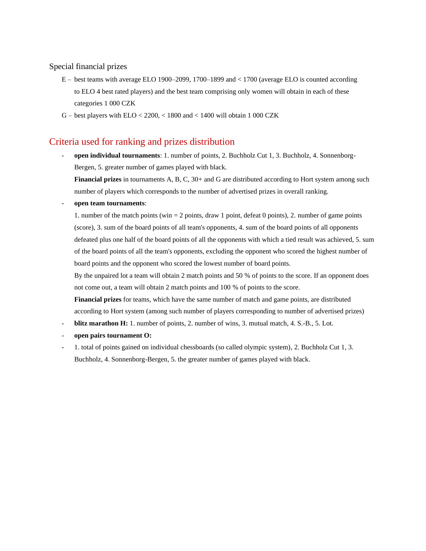#### Special financial prizes

- E best teams with average ELO 1900–2099, 1700–1899 and < 1700 (average ELO is counted according to ELO 4 best rated players) and the best team comprising only women will obtain in each of these categories 1 000 CZK
- G best players with  $ELO < 2200$ ,  $< 1800$  and  $< 1400$  will obtain 1 000 CZK

#### Criteria used for ranking and prizes distribution

- **open individual tournaments**: 1. number of points, 2. Buchholz Cut 1, 3. Buchholz, 4. Sonnenborg-Bergen, 5. greater number of games played with black.

**Financial prizes** in tournaments A, B, C, 30+ and G are distributed according to Hort system among such number of players which corresponds to the number of advertised prizes in overall ranking.

#### - **open team tournaments**:

1. number of the match points (win  $= 2$  points, draw 1 point, defeat 0 points), 2. number of game points (score), 3. sum of the board points of all team's opponents, 4. sum of the board points of all opponents defeated plus one half of the board points of all the opponents with which a tied result was achieved, 5. sum of the board points of all the team's opponents, excluding the opponent who scored the highest number of board points and the opponent who scored the lowest number of board points.

By the unpaired lot a team will obtain 2 match points and 50 % of points to the score. If an opponent does not come out, a team will obtain 2 match points and 100 % of points to the score.

**Financial prizes** for teams, which have the same number of match and game points, are distributed according to Hort system (among such number of players corresponding to number of advertised prizes)

- **blitz marathon H:** 1. number of points, 2. number of wins, 3. mutual match, 4. S.-B., 5. Lot.
- **open pairs tournament O:**
- 1. total of points gained on individual chessboards (so called olympic system), 2. Buchholz Cut 1, 3. Buchholz, 4. Sonnenborg-Bergen, 5. the greater number of games played with black.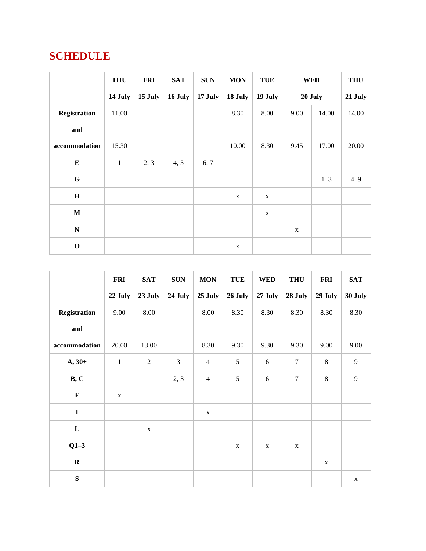# **SCHEDULE**

|                     | <b>THU</b>   | <b>FRI</b> | <b>SAT</b> | <b>SUN</b> | <b>MON</b>  | <b>TUE</b>  |             | <b>WED</b> | <b>THU</b> |
|---------------------|--------------|------------|------------|------------|-------------|-------------|-------------|------------|------------|
|                     | 14 July      | 15 July    | 16 July    | 17 July    | 18 July     | 19 July     |             | 20 July    | 21 July    |
| <b>Registration</b> | 11.00        |            |            |            | 8.30        | 8.00        | 9.00        | 14.00      | 14.00      |
| and                 |              |            |            |            |             |             |             |            |            |
| accommodation       | 15.30        |            |            |            | 10.00       | 8.30        | 9.45        | 17.00      | 20.00      |
| ${\bf E}$           | $\mathbf{1}$ | 2, 3       | 4, 5       | 6, 7       |             |             |             |            |            |
| $\mathbf G$         |              |            |            |            |             |             |             | $1 - 3$    | $4 - 9$    |
| $\bf H$             |              |            |            |            | X           | $\mathbf X$ |             |            |            |
| $\mathbf M$         |              |            |            |            |             | $\mathbf X$ |             |            |            |
| ${\bf N}$           |              |            |            |            |             |             | $\mathbf X$ |            |            |
| $\mathbf O$         |              |            |            |            | $\mathbf X$ |             |             |            |            |

|                     | <b>FRI</b>  | <b>SAT</b>        | <b>SUN</b> | <b>MON</b>               | <b>TUE</b>  | <b>WED</b>               | <b>THU</b>        | <b>FRI</b>  | <b>SAT</b>  |
|---------------------|-------------|-------------------|------------|--------------------------|-------------|--------------------------|-------------------|-------------|-------------|
|                     | 22 July     | 23 July           | 24 July    | 25 July                  | 26 July     | 27 July                  | 28 July           | 29 July     | 30 July     |
| <b>Registration</b> | 9.00        | 8.00              |            | 8.00                     | 8.30        | 8.30                     | 8.30              | 8.30        | 8.30        |
| and                 |             | $\qquad \qquad -$ |            | $\overline{\phantom{0}}$ | -           | $\overline{\phantom{m}}$ | $\qquad \qquad -$ |             |             |
| accommodation       | 20.00       | 13.00             |            | 8.30                     | 9.30        | 9.30                     | 9.30              | 9.00        | 9.00        |
| $A, 30+$            | $1\,$       | $\overline{2}$    | 3          | $\overline{4}$           | 5           | $6\,$                    | $\boldsymbol{7}$  | $\,8\,$     | 9           |
| B, C                |             | $\,1\,$           | 2, 3       | $\overline{4}$           | 5           | 6                        | $\boldsymbol{7}$  | $\,8\,$     | 9           |
| $\mathbf F$         | $\mathbf X$ |                   |            |                          |             |                          |                   |             |             |
| $\mathbf I$         |             |                   |            | $\mathbf X$              |             |                          |                   |             |             |
| $\mathbf L$         |             | $\mathbf X$       |            |                          |             |                          |                   |             |             |
| $Q1-3$              |             |                   |            |                          | $\mathbf X$ | $\mathbf X$              | $\mathbf X$       |             |             |
| ${\bf R}$           |             |                   |            |                          |             |                          |                   | $\mathbf X$ |             |
| S                   |             |                   |            |                          |             |                          |                   |             | $\mathbf X$ |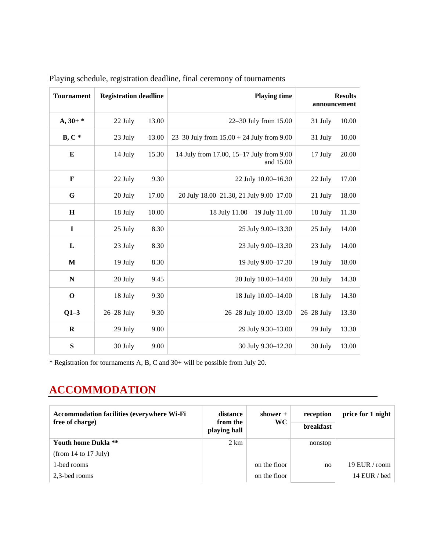| <b>Tournament</b> | <b>Registration deadline</b> |       |                                                       |                | <b>Playing time</b> | <b>Results</b><br>announcement |  |
|-------------------|------------------------------|-------|-------------------------------------------------------|----------------|---------------------|--------------------------------|--|
| $A, 30+$ *        | 22 July                      | 13.00 | 22-30 July from 15.00                                 | 31 July        | 10.00               |                                |  |
| $B, C^*$          | 23 July                      | 13.00 | 23-30 July from $15.00 + 24$ July from 9.00           | 31 July        | 10.00               |                                |  |
| E                 | 14 July                      | 15.30 | 14 July from 17.00, 15–17 July from 9.00<br>and 15.00 | 17 July        | 20.00               |                                |  |
| F                 | 22 July                      | 9.30  | 22 July 10.00-16.30                                   | 22 July        | 17.00               |                                |  |
| G                 | 20 July                      | 17.00 | 20 July 18.00-21.30, 21 July 9.00-17.00               | 21 July        | 18.00               |                                |  |
| H                 | 18 July                      | 10.00 | 18 July $11.00 - 19$ July $11.00$                     | 18 July        | 11.30               |                                |  |
| $\mathbf I$       | 25 July                      | 8.30  | 25 July 9.00-13.30                                    | 25 July        | 14.00               |                                |  |
| L                 | 23 July                      | 8.30  | 23 July 9.00-13.30                                    | 23 July        | 14.00               |                                |  |
| M                 | 19 July                      | 8.30  | 19 July 9.00-17.30                                    | 19 July        | 18.00               |                                |  |
| $\mathbf N$       | 20 July                      | 9.45  | 20 July 10.00-14.00                                   | 20 July        | 14.30               |                                |  |
| $\mathbf 0$       | 18 July                      | 9.30  | 18 July 10.00-14.00                                   | 18 July        | 14.30               |                                |  |
| $Q1-3$            | $26 - 28$ July               | 9.30  | 26-28 July 10.00-13.00                                | $26 - 28$ July | 13.30               |                                |  |
| $\bf{R}$          | 29 July                      | 9.00  | 29 July 9.30-13.00                                    | 29 July        | 13.30               |                                |  |
| ${\bf S}$         | 30 July                      | 9.00  | 30 July 9.30-12.30                                    | 30 July        | 13.00               |                                |  |

Playing schedule, registration deadline, final ceremony of tournaments

\* Registration for tournaments A, B, C and 30+ will be possible from July 20.

# **ACCOMMODATION**

| <b>Accommodation facilities (everywhere Wi-Fi</b><br>free of charge) | distance<br>from the<br>playing hall | shower $+$<br><b>WC</b> | reception<br>breakfast | price for 1 night |
|----------------------------------------------------------------------|--------------------------------------|-------------------------|------------------------|-------------------|
| Youth home Dukla **                                                  | $2 \text{ km}$                       |                         | nonstop                |                   |
| (from 14 to 17 July)                                                 |                                      |                         |                        |                   |
| 1-bed rooms                                                          |                                      | on the floor            | no                     | 19 EUR / room     |
| 2.3-bed rooms                                                        |                                      | on the floor            |                        | 14 EUR / bed      |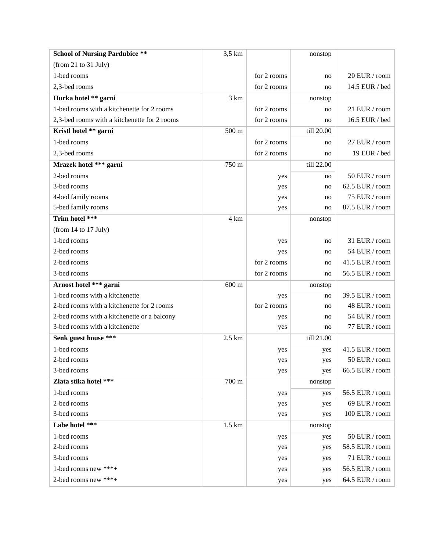| <b>School of Nursing Pardubice **</b>        | $3,5$ km         |             | nonstop    |                 |
|----------------------------------------------|------------------|-------------|------------|-----------------|
| (from 21 to 31 July)                         |                  |             |            |                 |
| 1-bed rooms                                  |                  | for 2 rooms | no         | 20 EUR / room   |
| 2,3-bed rooms                                |                  | for 2 rooms | no         | 14.5 EUR / bed  |
| Hurka hotel ** garni                         | 3 km             |             | nonstop    |                 |
| 1-bed rooms with a kitchenette for 2 rooms   |                  | for 2 rooms | no         | 21 EUR / room   |
| 2,3-bed rooms with a kitchenette for 2 rooms |                  | for 2 rooms | no         | 16.5 EUR / bed  |
| Kristl hotel ** garni                        | 500 m            |             | till 20.00 |                 |
| 1-bed rooms                                  |                  | for 2 rooms | no         | 27 EUR / room   |
| 2,3-bed rooms                                |                  | for 2 rooms | no         | 19 EUR / bed    |
| Mrazek hotel *** garni                       | 750 m            |             | till 22.00 |                 |
| 2-bed rooms                                  |                  | yes         | no         | 50 EUR / room   |
| 3-bed rooms                                  |                  | yes         | no         | 62.5 EUR / room |
| 4-bed family rooms                           |                  | yes         | no         | 75 EUR / room   |
| 5-bed family rooms                           |                  | yes         | no         | 87.5 EUR / room |
| Trim hotel ***                               | 4 km             |             | nonstop    |                 |
| (from 14 to 17 July)                         |                  |             |            |                 |
| 1-bed rooms                                  |                  | yes         | no         | 31 EUR / room   |
| 2-bed rooms                                  |                  | yes         | no         | 54 EUR / room   |
| 2-bed rooms                                  |                  | for 2 rooms | no         | 41.5 EUR / room |
| 3-bed rooms                                  |                  | for 2 rooms | no         | 56.5 EUR / room |
| Arnost hotel *** garni                       | $600 \text{ m}$  |             | nonstop    |                 |
| 1-bed rooms with a kitchenette               |                  | yes         | no         | 39.5 EUR / room |
| 2-bed rooms with a kitchenette for 2 rooms   |                  | for 2 rooms | no         | 48 EUR / room   |
| 2-bed rooms with a kitchenette or a balcony  |                  | yes         | no         | 54 EUR / room   |
| 3-bed rooms with a kitchenette               |                  | yes         | no         | 77 EUR / room   |
| Senk guest house ***                         | $2.5 \text{ km}$ |             | till 21.00 |                 |
| 1-bed rooms                                  |                  | yes         | yes        | 41.5 EUR / room |
| 2-bed rooms                                  |                  | yes         | yes        | 50 EUR / room   |
| 3-bed rooms                                  |                  | yes         | yes        | 66.5 EUR / room |
| Zlata stika hotel ***                        | 700 m            |             | nonstop    |                 |
| 1-bed rooms                                  |                  | yes         | yes        | 56.5 EUR / room |
| 2-bed rooms                                  |                  | yes         | yes        | 69 EUR / room   |
| 3-bed rooms                                  |                  | yes         | yes        | 100 EUR / room  |
| Labe hotel ***                               | $1.5 \text{ km}$ |             | nonstop    |                 |
| 1-bed rooms                                  |                  | yes         | yes        | 50 EUR / room   |
| 2-bed rooms                                  |                  | yes         | yes        | 58.5 EUR / room |
| 3-bed rooms                                  |                  | yes         | yes        | 71 EUR / room   |
| 1-bed rooms new ***+                         |                  | yes         | yes        | 56.5 EUR / room |
| 2-bed rooms new ***+                         |                  | yes         | yes        | 64.5 EUR / room |